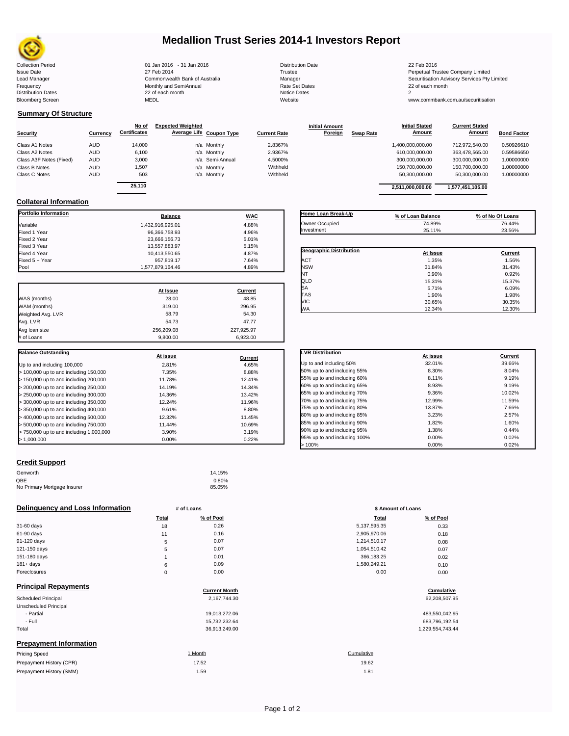

# **Medallion Trust Series 2014-1 Investors Report**

| <b>Collection Period</b>  | 01 Jan 2016 - 31 Jan 2016      | <b>Distribution Date</b> | 22 Feb 2016                             |
|---------------------------|--------------------------------|--------------------------|-----------------------------------------|
| <b>Issue Date</b>         | 27 Feb 2014                    | Trustee                  | Perpetual Trustee Company Limited       |
| Lead Manager              | Commonwealth Bank of Australia | Manager                  | Securitisation Advisory Services Pty Li |
| Frequency                 | Monthly and SemiAnnual         | <b>Rate Set Dates</b>    | 22 of each month                        |
| <b>Distribution Dates</b> | 22 of each month               | Notice Dates             |                                         |
| <b>Bloomberg Screen</b>   | <b>MEDL</b>                    | Website                  | www.commbank.com.au/securitisation      |
|                           |                                |                          |                                         |

## **Summary Of Structure**

|                         |                 | No of               | <b>Expected Weighted</b> |                     | <b>Initial Amount</b>       | <b>Initial Stated</b> | <b>Current Stated</b> |                    |
|-------------------------|-----------------|---------------------|--------------------------|---------------------|-----------------------------|-----------------------|-----------------------|--------------------|
| <b>Security</b>         | <b>Currency</b> | <b>Certificates</b> | Average Life Coupon Type | <b>Current Rate</b> | Foreign<br><b>Swap Rate</b> | Amount                | <b>Amount</b>         | <b>Bond Factor</b> |
| Class A1 Notes          | <b>AUD</b>      | 14,000              | n/a Monthly              | 2.8367%             |                             | 1,400,000,000.00      | 712,972,540.00        | 0.50926610         |
| Class A2 Notes          | <b>AUD</b>      | 6,100               | n/a Monthly              | 2.9367%             |                             | 610.000.000.00        | 363.478.565.00        | 0.59586650         |
| Class A3F Notes (Fixed) | <b>AUD</b>      | 3.000               | n/a Semi-Annual          | 4.5000%             |                             | 300.000.000.00        | 300,000,000.00        | 1.00000000         |
| Class B Notes           | <b>AUD</b>      | 1,507               | n/a Monthly              | Withheld            |                             | 150.700.000.00        | 150.700.000.00        | 1.00000000         |
| Class C Notes           | <b>AUD</b>      | 503                 | n/a Monthly              | Withheld            |                             | 50,300,000.00         | 50,300,000.00         | 1.00000000         |
|                         |                 |                     |                          |                     |                             |                       |                       |                    |

|          | No of               | <b>Expected Weighted</b> |                          |                     | <b>Initial Amount</b> |                  | <b>Initial Stated</b> | <b>Current Stated</b> |                    |
|----------|---------------------|--------------------------|--------------------------|---------------------|-----------------------|------------------|-----------------------|-----------------------|--------------------|
| Currency | <b>Certificates</b> |                          | Average Life Coupon Type | <b>Current Rate</b> | Foreign               | <b>Swap Rate</b> | Amount                | <b>Amount</b>         | <b>Bond Factor</b> |
| AUD      | 14,000              |                          | n/a Monthly              | 2.8367%             |                       |                  | 00.000,000.00,00      | 712.972.540.00        | 0.50926610         |
| AUD      | 6,100               |                          | n/a Monthly              | 2.9367%             |                       |                  | 610.000.000.00        | 363,478,565.00        | 0.59586650         |
| AUD      | 3,000               |                          | n/a Semi-Annual          | 4.5000%             |                       |                  | 300,000,000.00        | 300.000.000.00        | 1.00000000         |
| AUD      | .507                |                          | n/a Monthly              | Withheld            |                       |                  | 150.700.000.00        | 150,700,000.00        | 1.00000000         |
| AUD      | 503                 |                          | n/a Monthly              | Withheld            |                       |                  | 50.300.000.00         | 50.300.000.00         | 1.00000000         |
|          | 25.110              |                          |                          |                     |                       |                  | 2,511,000,000.00      | 1,577,451,105.00      |                    |
|          |                     |                          |                          |                     |                       |                  |                       |                       |                    |

**Initial Stated** 

### **Collateral Information**

| <b>Portfolio Information</b>            | <b>Balance</b>   | <b>WAC</b>     |
|-----------------------------------------|------------------|----------------|
| Variable                                | 1.432.916.995.01 | 4.88%          |
| Fixed 1 Year                            | 96,366,758.93    | 4.96%          |
| Fixed 2 Year                            | 23,666,156.73    | 5.01%          |
| Fixed 3 Year                            | 13,557,883.97    | 5.15%          |
| Fixed 4 Year                            | 10,413,550.65    | 4.87%          |
| Fixed 5 + Year                          | 957,819.17       | 7.64%          |
| Pool                                    | 1,577,879,164.46 | 4.89%          |
|                                         | At Issue         | <b>Current</b> |
| WAS (months)                            | 28.00            | 48.85          |
| WAM (months)                            | 319.00           | 296.95         |
| Weighted Avg. LVR                       | 58.79            | 54.30          |
| Avg. LVR                                | 54.73            | 47.77          |
| Avg loan size                           | 256,209.08       | 227,925.97     |
| # of Loans                              | 9,800.00         | 6,923.00       |
| <b>Balance Outstanding</b>              |                  |                |
|                                         | At issue         | Current        |
| Up to and including 100,000             | 2.81%            | 4.65%          |
| > 100,000 up to and including 150,000   | 7.35%            | 8.88%          |
| > 150,000 up to and including 200,000   | 11.78%           | 12.41%         |
| > 200,000 up to and including 250,000   | 14.19%           | 14.34%         |
| > 250,000 up to and including 300,000   | 14.36%           | 13.42%         |
| > 300,000 up to and including 350,000   | 12.24%           | 11.96%         |
| > 350,000 up to and including 400,000   | 9.61%            | 8.80%          |
| > 400,000 up to and including 500,000   | 12.32%           | 11.45%         |
| > 500,000 up to and including 750,000   | 11.44%           | 10.69%         |
| > 750,000 up to and including 1,000,000 | 3.90%            | 3.19%          |
| > 1,000,000                             | 0.00%            | 0.22%          |

| Home Loan Break-Up             | % of Loan Balance | % of No Of Loans |
|--------------------------------|-------------------|------------------|
| Owner Occupied                 | 74.89%            | 76.44%           |
| Investment                     | 25.11%            | 23.56%           |
|                                |                   |                  |
| <b>Geographic Distribution</b> | At Issue          | Current          |
| <b>ACT</b>                     | 1.35%             | 1.56%            |
| <b>NSW</b>                     | 31.84%            | 31.43%           |
| NT                             | 0.90%             | 0.92%            |
| QLD                            | 15.31%            | 15.37%           |
| <b>SA</b>                      | 5.71%             | 6.09%            |
| <b>TAS</b>                     | 1.90%             | 1.98%            |
| <b>VIC</b>                     | 30.65%            | 30.35%           |
| <b>WA</b>                      | 12.34%            | 12.30%           |

| <b>LVR Distribution</b>      | At issue | Current |
|------------------------------|----------|---------|
| Up to and including 50%      | 32.01%   | 39.66%  |
| 50% up to and including 55%  | 8.30%    | 8.04%   |
| 55% up to and including 60%  | 8.11%    | 9.19%   |
| 60% up to and including 65%  | 8.93%    | 9.19%   |
| 65% up to and including 70%  | 9.36%    | 10.02%  |
| 70% up to and including 75%  | 12.99%   | 11.59%  |
| 75% up to and including 80%  | 13.87%   | 7.66%   |
| 80% up to and including 85%  | 3.23%    | 2.57%   |
| 85% up to and including 90%  | 1.82%    | 1.60%   |
| 90% up to and including 95%  | 1.38%    | 0.44%   |
| 95% up to and including 100% | 0.00%    | 0.02%   |
| >100%                        | 0.00%    | 0.02%   |

#### **Credit Support**

Prepayment History (SMM)

| Genworth                    | 14.15% |
|-----------------------------|--------|
| OBE                         | 0.80%  |
| No Primary Mortgage Insurer | 85.05% |

### **Delinquency and Loss Information # of Loans # of Loans \$ Amount of Loans**

|              | Total    | % of Pool | <b>Total</b> | % of Pool |
|--------------|----------|-----------|--------------|-----------|
| 31-60 days   | 18       | 0.26      | 5,137,595.35 | 0.33      |
| 61-90 days   | 11       | 0.16      | 2,905,970.06 | 0.18      |
| 91-120 days  | 5        | 0.07      | 1,214,510.17 | 0.08      |
| 121-150 days | 5        | 0.07      | 1,054,510.42 | 0.07      |
| 151-180 days |          | 0.01      | 366,183.25   | 0.02      |
| $181 + days$ | 6        | 0.09      | 1,580,249.21 | 0.10      |
| Foreclosures | $\Omega$ | 0.00      | 0.00         | 0.00      |
|              |          |           |              |           |

| <b>Principal Repayments</b>   |                      |                  |
|-------------------------------|----------------------|------------------|
|                               | <b>Current Month</b> | Cumulative       |
| <b>Scheduled Principal</b>    | 2,167,744.30         | 62,208,507.95    |
| Unscheduled Principal         |                      |                  |
| - Partial                     | 19,013,272.06        | 483,550,042.95   |
| - Full                        | 15,732,232.64        | 683,796,192.54   |
| Total                         | 36,913,249.00        | 1,229,554,743.44 |
| <b>Prepayment Information</b> |                      |                  |
| <b>Pricing Speed</b>          | 1 Month              | Cumulative       |
| Prepayment History (CPR)      | 17.52                | 19.62            |

| Total | % of Pool | <b>Total</b> | % of Pool |
|-------|-----------|--------------|-----------|
| 18    | 0.26      | 5,137,595.35 | 0.33      |
| 11    | 0.16      | 2,905,970.06 | 0.18      |
| 5     | 0.07      | 1,214,510.17 | 0.08      |
| 5     | 0.07      | 1,054,510.42 | 0.07      |
| 1     | 0.01      | 366,183.25   | 0.02      |
| 6     | 0.09      | 1,580,249.21 | 0.10      |
| 0     | 0.00      | 0.00         | 0.00      |
|       |           |              |           |

# **Cumulative**

| 483,550,042.95   |
|------------------|
| 683.796.192.54   |
| 1 229 554 743 44 |

# $1.59$  1.81